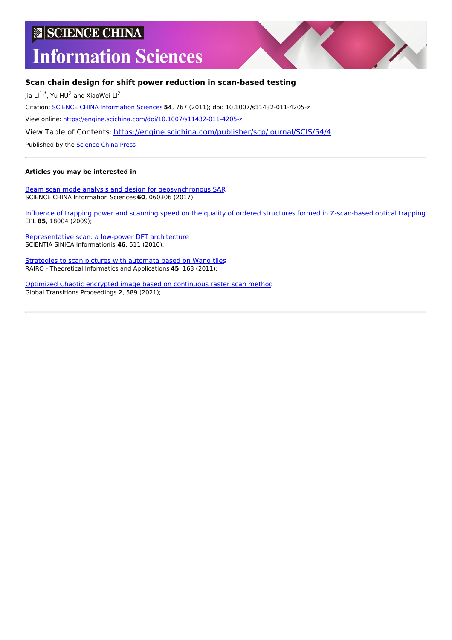# **SCIENCE CHINA**

# **Information Sciences**



# **Scan chain design for shift power reduction in scan-based testing**

Jia Ll $^{1,*}$ , Yu HU<sup>2</sup> and XiaoWei Ll<sup>2</sup>

Citation: SCIENCE CHINA [Information](https://engine.scichina.com/publisher/scp/journal/SCIS) Sciences **54**, 767 (2011); doi: 10.1007/s11432-011-4205-z

View online: <https://engine.scichina.com/doi/10.1007/s11432-011-4205-z>

View Table of Contents: <https://engine.scichina.com/publisher/scp/journal/SCIS/54/4>

Published by the [Science](https://engine.scichina.com/publisher/scp) China Press

# **Articles you may be interested in**

Beam scan mode analysis and design for [geosynchronous](https://engine.scichina.com/doi/10.1007/s11432-016-9082-9) SAR SCIENCE CHINA Information Sciences **60**, 060306 (2017);

Influence of trapping power and scanning speed on the quality of ordered structures formed in [Z-scan-based](https://engine.scichina.com/doi/10.1209/0295-5075/85/18004) optical trapping EPL **85**, 18004 (2009);

[Representative](https://engine.scichina.com/doi/10.1360/N112015-00013) scan: a low-power DFT architecture SCIENTIA SINICA Informationis **46**, 511 (2016);

[Strategies](https://engine.scichina.com/doi/10.1051/ita/2011016) to scan pictures with automata based on Wang tiles RAIRO - Theoretical Informatics and Applications **45**, 163 (2011);

Optimized Chaotic encrypted image based on [continuous](https://engine.scichina.com/doi/10.1016/j.gltp.2021.08.055) raster scan method Global Transitions Proceedings **2**, 589 (2021);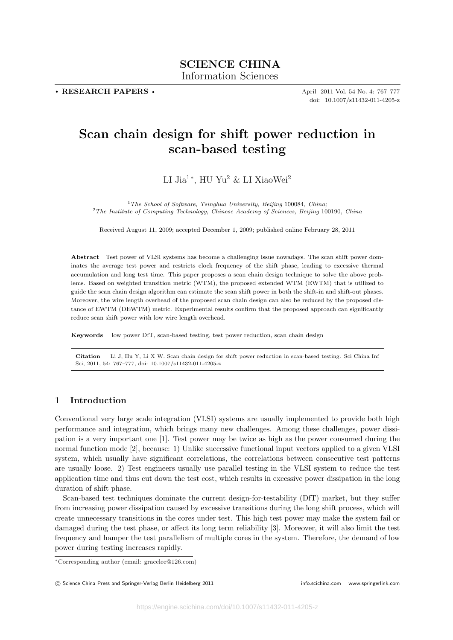. RESEARCH PAPERS .

April 2011 Vol. 54 No. 4: 767–777 doi: 10.1007/s11432-011-4205-z

# Scan chain design for shift power reduction in scan-based testing

LI Jia<sup>1</sup><sup>\*</sup>, HU Yu<sup>2</sup> & LI XiaoWei<sup>2</sup>

 $1$ The School of Software, Tsinghua University, Beijing 100084, China; <sup>2</sup>The Institute of Computing Technology, Chinese Academy of Sciences, Beijing 100190, China

Received August 11, 2009; accepted December 1, 2009; published online February 28, 2011

Abstract Test power of VLSI systems has become a challenging issue nowadays. The scan shift power dominates the average test power and restricts clock frequency of the shift phase, leading to excessive thermal accumulation and long test time. This paper proposes a scan chain design technique to solve the above problems. Based on weighted transition metric (WTM), the proposed extended WTM (EWTM) that is utilized to guide the scan chain design algorithm can estimate the scan shift power in both the shift-in and shift-out phases. Moreover, the wire length overhead of the proposed scan chain design can also be reduced by the proposed distance of EWTM (DEWTM) metric. Experimental results confirm that the proposed approach can significantly reduce scan shift power with low wire length overhead.

Keywords low power DfT, scan-based testing, test power reduction, scan chain design

Citation Li J, Hu Y, Li X W. Scan chain design for shift power reduction in scan-based testing. Sci China Inf Sci, 2011, 54: 767–777, doi: 10.1007/s11432-011-4205-z

## 1 Introduction

Conventional very large scale integration (VLSI) systems are usually implemented to provide both high performance and integration, which brings many new challenges. Among these challenges, power dissipation is a very important one [1]. Test power may be twice as high as the power consumed during the normal function mode [2], because: 1) Unlike successive functional input vectors applied to a given VLSI system, which usually have significant correlations, the correlations between consecutive test patterns are usually loose. 2) Test engineers usually use parallel testing in the VLSI system to reduce the test application time and thus cut down the test cost, which results in excessive power dissipation in the long duration of shift phase.

Scan-based test techniques dominate the current design-for-testability (DfT) market, but they suffer from increasing power dissipation caused by excessive transitions during the long shift process, which will create unnecessary transitions in the cores under test. This high test power may make the system fail or damaged during the test phase, or affect its long term reliability [3]. Moreover, it will also limit the test frequency and hamper the test parallelism of multiple cores in the system. Therefore, the demand of low power during testing increases rapidly.

<sup>∗</sup>Corresponding author (email: gracelee@126.com)

<sup>°</sup>c Science China Press and Springer-Verlag Berlin Heidelberg 2011 info.scichina.com www.springerlink.com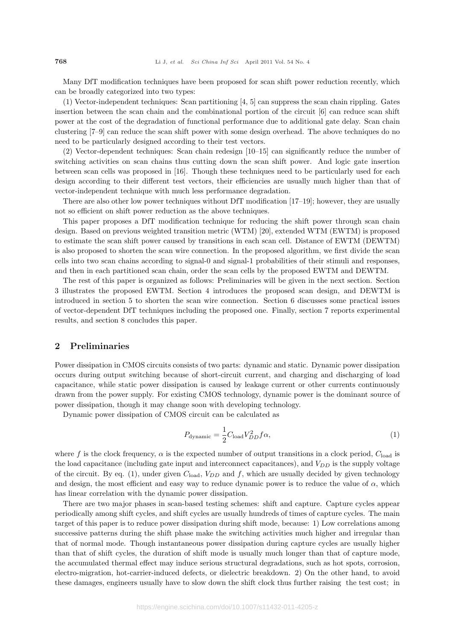Many DfT modification techniques have been proposed for scan shift power reduction recently, which can be broadly categorized into two types:

(1) Vector-independent techniques: Scan partitioning [4, 5] can suppress the scan chain rippling. Gates insertion between the scan chain and the combinational portion of the circuit [6] can reduce scan shift power at the cost of the degradation of functional performance due to additional gate delay. Scan chain clustering [7–9] can reduce the scan shift power with some design overhead. The above techniques do no need to be particularly designed according to their test vectors.

(2) Vector-dependent techniques: Scan chain redesign [10–15] can significantly reduce the number of switching activities on scan chains thus cutting down the scan shift power. And logic gate insertion between scan cells was proposed in [16]. Though these techniques need to be particularly used for each design according to their different test vectors, their efficiencies are usually much higher than that of vector-independent technique with much less performance degradation.

There are also other low power techniques without DfT modification [17–19]; however, they are usually not so efficient on shift power reduction as the above techniques.

This paper proposes a DfT modification technique for reducing the shift power through scan chain design. Based on previous weighted transition metric (WTM) [20], extended WTM (EWTM) is proposed to estimate the scan shift power caused by transitions in each scan cell. Distance of EWTM (DEWTM) is also proposed to shorten the scan wire connection. In the proposed algorithm, we first divide the scan cells into two scan chains according to signal-0 and signal-1 probabilities of their stimuli and responses, and then in each partitioned scan chain, order the scan cells by the proposed EWTM and DEWTM.

The rest of this paper is organized as follows: Preliminaries will be given in the next section. Section 3 illustrates the proposed EWTM. Section 4 introduces the proposed scan design, and DEWTM is introduced in section 5 to shorten the scan wire connection. Section 6 discusses some practical issues of vector-dependent DfT techniques including the proposed one. Finally, section 7 reports experimental results, and section 8 concludes this paper.

# 2 Preliminaries

Power dissipation in CMOS circuits consists of two parts: dynamic and static. Dynamic power dissipation occurs during output switching because of short-circuit current, and charging and discharging of load capacitance, while static power dissipation is caused by leakage current or other currents continuously drawn from the power supply. For existing CMOS technology, dynamic power is the dominant source of power dissipation, though it may change soon with developing technology.

Dynamic power dissipation of CMOS circuit can be calculated as

$$
P_{\text{dynamic}} = \frac{1}{2} C_{\text{load}} V_{DD}^2 f \alpha,\tag{1}
$$

where f is the clock frequency,  $\alpha$  is the expected number of output transitions in a clock period,  $C_{load}$  is the load capacitance (including gate input and interconnect capacitances), and  $V_{DD}$  is the supply voltage of the circuit. By eq. (1), under given  $C_{load}$ ,  $V_{DD}$  and f, which are usually decided by given technology and design, the most efficient and easy way to reduce dynamic power is to reduce the value of  $\alpha$ , which has linear correlation with the dynamic power dissipation.

There are two major phases in scan-based testing schemes: shift and capture. Capture cycles appear periodically among shift cycles, and shift cycles are usually hundreds of times of capture cycles. The main target of this paper is to reduce power dissipation during shift mode, because: 1) Low correlations among successive patterns during the shift phase make the switching activities much higher and irregular than that of normal mode. Though instantaneous power dissipation during capture cycles are usually higher than that of shift cycles, the duration of shift mode is usually much longer than that of capture mode, the accumulated thermal effect may induce serious structural degradations, such as hot spots, corrosion, electro-migration, hot-carrier-induced defects, or dielectric breakdown. 2) On the other hand, to avoid these damages, engineers usually have to slow down the shift clock thus further raising the test cost; in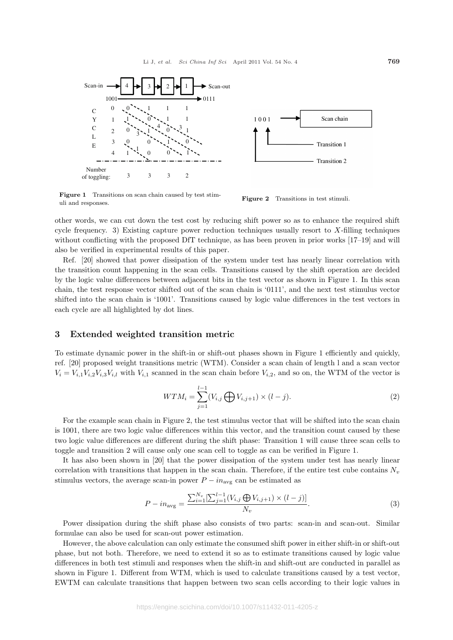

Figure 1 Transitions on scan chain caused by test stim-Figure 1 Transitions on scan chain caused by test stimular Figure 2 Transitions in test stimuli.



other words, we can cut down the test cost by reducing shift power so as to enhance the required shift cycle frequency. 3) Existing capture power reduction techniques usually resort to X-filling techniques without conflicting with the proposed DfT technique, as has been proven in prior works [17–19] and will also be verified in experimental results of this paper.

Ref. [20] showed that power dissipation of the system under test has nearly linear correlation with the transition count happening in the scan cells. Transitions caused by the shift operation are decided by the logic value differences between adjacent bits in the test vector as shown in Figure 1. In this scan chain, the test response vector shifted out of the scan chain is '0111', and the next test stimulus vector shifted into the scan chain is '1001'. Transitions caused by logic value differences in the test vectors in each cycle are all highlighted by dot lines.

# 3 Extended weighted transition metric

To estimate dynamic power in the shift-in or shift-out phases shown in Figure 1 efficiently and quickly, ref. [20] proposed weight transitions metric (WTM). Consider a scan chain of length l and a scan vector  $V_i = V_{i,1}V_{i,2}V_{i,3}V_{i,l}$  with  $V_{i,1}$  scanned in the scan chain before  $V_{i,2}$ , and so on, the WTM of the vector is

$$
WTM_i = \sum_{j=1}^{l-1} (V_{i,j} \bigoplus V_{i,j+1}) \times (l-j).
$$
 (2)

For the example scan chain in Figure 2, the test stimulus vector that will be shifted into the scan chain is 1001, there are two logic value differences within this vector, and the transition count caused by these two logic value differences are different during the shift phase: Transition 1 will cause three scan cells to toggle and transition 2 will cause only one scan cell to toggle as can be verified in Figure 1.

It has also been shown in [20] that the power dissipation of the system under test has nearly linear correlation with transitions that happen in the scan chain. Therefore, if the entire test cube contains  $N_v$ stimulus vectors, the average scan-in power  $P - in_{\text{avg}}$  can be estimated as

$$
P - in_{\text{avg}} = \frac{\sum_{i=1}^{N_v} [\sum_{j=1}^{l-1} (V_{i,j} \bigoplus V_{i,j+1}) \times (l-j)]}{N_v}.
$$
\n(3)

Power dissipation during the shift phase also consists of two parts: scan-in and scan-out. Similar formulae can also be used for scan-out power estimation.

However, the above calculation can only estimate the consumed shift power in either shift-in or shift-out phase, but not both. Therefore, we need to extend it so as to estimate transitions caused by logic value differences in both test stimuli and responses when the shift-in and shift-out are conducted in parallel as shown in Figure 1. Different from WTM, which is used to calculate transitions caused by a test vector, EWTM can calculate transitions that happen between two scan cells according to their logic values in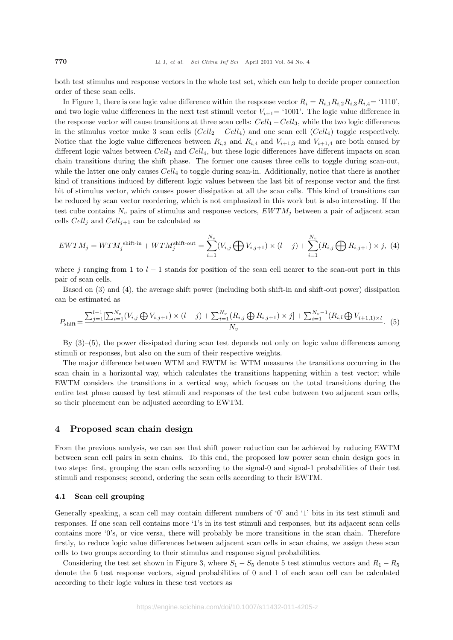both test stimulus and response vectors in the whole test set, which can help to decide proper connection order of these scan cells.

In Figure 1, there is one logic value difference within the response vector  $R_i = R_{i,1}R_{i,2}R_{i,3}R_{i,4} =$  '1110', and two logic value differences in the next test stimuli vector  $V_{i+1}$  = '1001'. The logic value difference in the response vector will cause transitions at three scan cells:  $Cell_1 - Cell_3$ , while the two logic differences in the stimulus vector make 3 scan cells  $(Cell_2 - Cell_4)$  and one scan cell  $(Cell_4)$  toggle respectively. Notice that the logic value differences between  $R_{i,3}$  and  $R_{i,4}$  and  $V_{i+1,3}$  and  $V_{i+1,4}$  are both caused by different logic values between  $Cell_3$  and  $Cell_4$ , but these logic differences have different impacts on scan chain transitions during the shift phase. The former one causes three cells to toggle during scan-out, while the latter one only causes  $Cell_4$  to toggle during scan-in. Additionally, notice that there is another kind of transitions induced by different logic values between the last bit of response vector and the first bit of stimulus vector, which causes power dissipation at all the scan cells. This kind of transitions can be reduced by scan vector reordering, which is not emphasized in this work but is also interesting. If the test cube contains  $N_v$  pairs of stimulus and response vectors,  $EWTM_i$  between a pair of adjacent scan cells  $Cell_i$  and  $Cell_{i+1}$  can be calculated as

$$
EWTM_j = WTM_j^{\text{shift-in}} + WTM_j^{\text{shift-out}} = \sum_{i=1}^{N_v} (V_{i,j} \bigoplus V_{i,j+1}) \times (l-j) + \sum_{i=1}^{N_v} (R_{i,j} \bigoplus R_{i,j+1}) \times j, \tag{4}
$$

where j ranging from 1 to  $l-1$  stands for position of the scan cell nearer to the scan-out port in this pair of scan cells.

Based on (3) and (4), the average shift power (including both shift-in and shift-out power) dissipation can be estimated as

$$
P_{\text{shift}} = \frac{\sum_{j=1}^{l-1} \left[ \sum_{i=1}^{N_v} (V_{i,j} \bigoplus V_{i,j+1}) \times (l-j) + \sum_{i=1}^{N_v} (R_{i,j} \bigoplus R_{i,j+1}) \times j \right] + \sum_{i=1}^{N_v-1} (R_{i,l} \bigoplus V_{i+1,1}) \times l}{N_v}.
$$
 (5)

By  $(3)$ – $(5)$ , the power dissipated during scan test depends not only on logic value differences among stimuli or responses, but also on the sum of their respective weights.

The major difference between WTM and EWTM is: WTM measures the transitions occurring in the scan chain in a horizontal way, which calculates the transitions happening within a test vector; while EWTM considers the transitions in a vertical way, which focuses on the total transitions during the entire test phase caused by test stimuli and responses of the test cube between two adjacent scan cells, so their placement can be adjusted according to EWTM.

# 4 Proposed scan chain design

From the previous analysis, we can see that shift power reduction can be achieved by reducing EWTM between scan cell pairs in scan chains. To this end, the proposed low power scan chain design goes in two steps: first, grouping the scan cells according to the signal-0 and signal-1 probabilities of their test stimuli and responses; second, ordering the scan cells according to their EWTM.

### 4.1 Scan cell grouping

Generally speaking, a scan cell may contain different numbers of '0' and '1' bits in its test stimuli and responses. If one scan cell contains more '1's in its test stimuli and responses, but its adjacent scan cells contains more '0's, or vice versa, there will probably be more transitions in the scan chain. Therefore firstly, to reduce logic value differences between adjacent scan cells in scan chains, we assign these scan cells to two groups according to their stimulus and response signal probabilities.

Considering the test set shown in Figure 3, where  $S_1 - S_5$  denote 5 test stimulus vectors and  $R_1 - R_5$ denote the 5 test response vectors, signal probabilities of 0 and 1 of each scan cell can be calculated according to their logic values in these test vectors as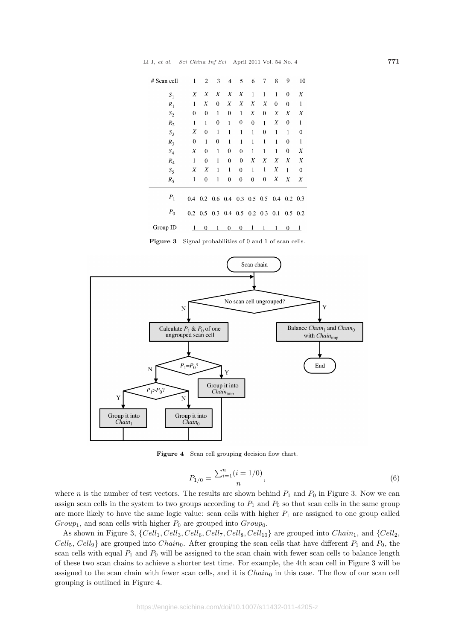| # Scan cell | 1             | 2                             | 3                | 4                         | 5                | 6            | 7                | 8 | 9               | 10              |
|-------------|---------------|-------------------------------|------------------|---------------------------|------------------|--------------|------------------|---|-----------------|-----------------|
| $S_1$       | X             | Χ                             | X                | X                         | Χ                | 1            | 1                | 1 | $\bf{0}$        | X               |
| $R_1$       | 1             | Χ                             | $\boldsymbol{0}$ | Χ                         | X                | Χ            | Χ                | 0 | $\mathbf 0$     | 1               |
| $S_2$       | 0             | $\bf{0}$                      | 1                | 0                         | $\mathbf{1}$     | Χ            | $\bf{0}$         | Χ | Χ               | Χ               |
| $R_2$       | 1             | 1                             | 0                | 1                         | 0                | $\bf{0}$     | 1                | Χ | $\bf{0}$        | 1               |
| $S_3$       | Χ             | $\bf{0}$                      | $\mathbf{1}$     | $\mathbf{1}$              | $\mathbf{1}$     | 1            | $\bf{0}$         | 1 | 1               | $\bf{0}$        |
| $R_3$       | 0             | 1                             | 0                | 1                         | 1                | 1            | 1                | 1 | 0               | 1               |
| $S_4$       | X             | $\bf{0}$                      | $\mathbf{1}$     | 0                         | $\bf{0}$         | $\mathbf{1}$ | 1                | 1 | $\bf{0}$        | Χ               |
| $R_4$       | 1             | 0                             | 1                | 0                         | $\bf{0}$         | Χ            | X                | X | Χ               | X               |
| $S_5$       | Χ             | X                             | 1                | $\mathbf{1}$              | $\boldsymbol{0}$ | 1            | 1                | Χ | 1               | 0               |
| $R_5$       | 1             | 0                             | 1                | $\bf{0}$                  | $\bf{0}$         | $\mathbf 0$  | $\boldsymbol{0}$ | Χ | X               | X               |
| $P_1$       | $0.4^{\circ}$ | $0.2$ 0.6 0.4 0.3 0.5 0.5 0.4 |                  |                           |                  |              |                  |   | $0.2 \quad 0.3$ |                 |
| $P_0$       |               | $0.2 \quad 0.5$               |                  | $0.3$ 0.4 0.5 0.2 0.3 0.1 |                  |              |                  |   |                 | $0.5 \quad 0.2$ |
| Group ID    | 1             | 0                             | 1                | 0                         | 0                | 1            | 1                | 1 | 0               | 1               |

Figure 3 Signal probabilities of 0 and 1 of scan cells.



Figure 4 Scan cell grouping decision flow chart.

$$
P_{1/0} = \frac{\sum_{i=1}^{n} (i = 1/0)}{n},\tag{6}
$$

where n is the number of test vectors. The results are shown behind  $P_1$  and  $P_0$  in Figure 3. Now we can assign scan cells in the system to two groups according to  $P_1$  and  $P_0$  so that scan cells in the same group are more likely to have the same logic value: scan cells with higher  $P_1$  are assigned to one group called  $Group_1$ , and scan cells with higher  $P_0$  are grouped into  $Group_0$ .

As shown in Figure 3,  $\{Cell_1, Cell_3, Cell_6, Cell_7, Cell_8, Cell_{10}\}$  are grouped into  $Chain_1$ , and  $\{Cell_2,$  $Cell_5$ ,  $Cell_9$ } are grouped into  $Chain_0$ . After grouping the scan cells that have different  $P_1$  and  $P_0$ , the scan cells with equal  $P_1$  and  $P_0$  will be assigned to the scan chain with fewer scan cells to balance length of these two scan chains to achieve a shorter test time. For example, the 4th scan cell in Figure 3 will be assigned to the scan chain with fewer scan cells, and it is  $Chain_0$  in this case. The flow of our scan cell grouping is outlined in Figure 4.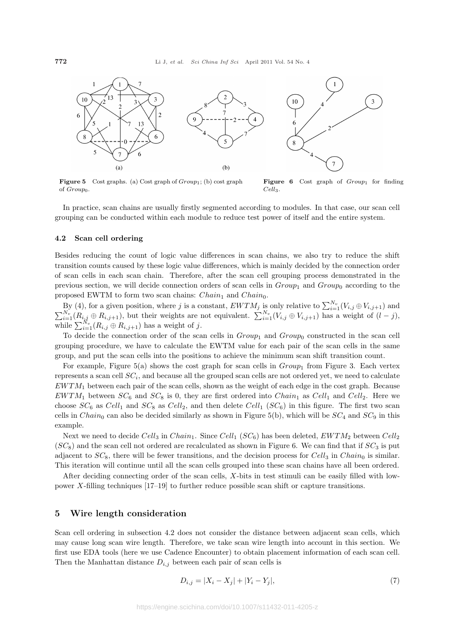

**Figure 5** Cost graphs. (a) Cost graph of  $Group_1$ ; (b) cost graph of Group<sub>0</sub>.

Figure 6 Cost graph of  $Group_1$  for finding Cell3.

In practice, scan chains are usually firstly segmented according to modules. In that case, our scan cell grouping can be conducted within each module to reduce test power of itself and the entire system.

#### 4.2 Scan cell ordering

Besides reducing the count of logic value differences in scan chains, we also try to reduce the shift transition counts caused by these logic value differences, which is mainly decided by the connection order of scan cells in each scan chain. Therefore, after the scan cell grouping process demonstrated in the previous section, we will decide connection orders of scan cells in  $Group_1$  and  $Group_0$  according to the proposed EWTM to form two scan chains:  $Chain_1$  and  $Chain_0$ .

By (4), for a given position, where j is a constant,  $EWTM_j$  is only relative to  $\sum_{i=1}^{N_v} (V_{i,j} \oplus V_{i,j+1})$  and  $\sum_{i=1}^{N_v} (R_{i,j} \oplus R_{i,j+1})$ , but their weights are not equivalent.  $\sum_{i=1}^{N_v} (V_{i,j} \oplus V_{i,j+1})$  has a we  $\sum_{i=1}^{N} (R_{i,j} \oplus R_{i,j+1}),$  but then weights are i<br>while  $\sum_{i=1}^{N_v} (R_{i,j} \oplus R_{i,j+1})$  has a weight of j.

To decide the connection order of the scan cells in  $Group_1$  and  $Group_0$  constructed in the scan cell grouping procedure, we have to calculate the EWTM value for each pair of the scan cells in the same group, and put the scan cells into the positions to achieve the minimum scan shift transition count.

For example, Figure 5(a) shows the cost graph for scan cells in  $Group_1$  from Figure 3. Each vertex represents a scan cell  $SC_i$ , and because all the grouped scan cells are not ordered yet, we need to calculate  $EWTM<sub>1</sub>$  between each pair of the scan cells, shown as the weight of each edge in the cost graph. Because  $EWTM_1$  between  $SC_6$  and  $SC_8$  is 0, they are first ordered into  $Chain_1$  as  $Cell_1$  and  $Cell_2$ . Here we choose  $SC_6$  as  $Cell_1$  and  $SC_8$  as  $Cell_2$ , and then delete  $Cell_1$  ( $SC_6$ ) in this figure. The first two scan cells in *Chain*<sub>0</sub> can also be decided similarly as shown in Figure 5(b), which will be  $SC_4$  and  $SC_9$  in this example.

Next we need to decide Cell<sub>3</sub> in Chain<sub>1</sub>. Since Cell<sub>1</sub> (SC<sub>6</sub>) has been deleted, EWTM<sub>2</sub> between Cell<sub>2</sub>  $(SC_8)$  and the scan cell not ordered are recalculated as shown in Figure 6. We can find that if  $SC_3$  is put adjacent to  $SC_8$ , there will be fewer transitions, and the decision process for Cell<sub>3</sub> in Chain<sub>0</sub> is similar. This iteration will continue until all the scan cells grouped into these scan chains have all been ordered.

After deciding connecting order of the scan cells, X-bits in test stimuli can be easily filled with lowpower X-filling techniques [17–19] to further reduce possible scan shift or capture transitions.

#### 5 Wire length consideration

Scan cell ordering in subsection 4.2 does not consider the distance between adjacent scan cells, which may cause long scan wire length. Therefore, we take scan wire length into account in this section. We first use EDA tools (here we use Cadence Encounter) to obtain placement information of each scan cell. Then the Manhattan distance  $D_{i,j}$  between each pair of scan cells is

$$
D_{i,j} = |X_i - X_j| + |Y_i - Y_j|,\t\t(7)
$$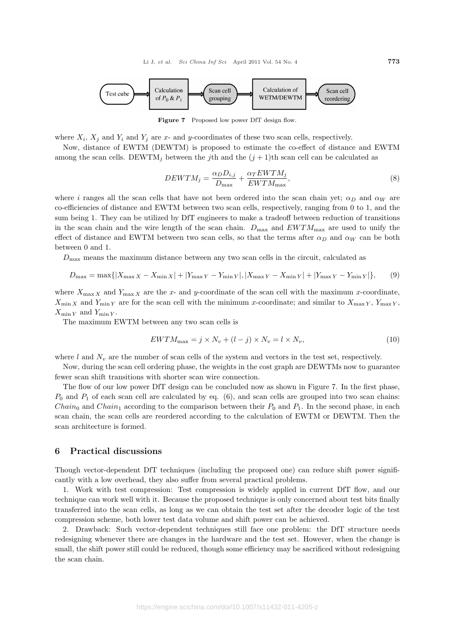

Figure 7 Proposed low power DfT design flow.

where  $X_i$ ,  $X_j$  and  $Y_i$  and  $Y_j$  are x- and y-coordinates of these two scan cells, respectively.

Now, distance of EWTM (DEWTM) is proposed to estimate the co-effect of distance and EWTM among the scan cells. DEWTM<sub>j</sub> between the jth and the  $(j + 1)$ th scan cell can be calculated as

$$
DEWTM_j = \frac{\alpha_D D_{i,j}}{D_{\text{max}}} + \frac{\alpha_T EWTM_j}{EWTM_{\text{max}}},\tag{8}
$$

where i ranges all the scan cells that have not been ordered into the scan chain yet;  $\alpha_D$  and  $\alpha_W$  are co-efficiencies of distance and EWTM between two scan cells, respectively, ranging from 0 to 1, and the sum being 1. They can be utilized by DfT engineers to make a tradeoff between reduction of transitions in the scan chain and the wire length of the scan chain.  $D_{\text{max}}$  and  $EWTM_{\text{max}}$  are used to unify the effect of distance and EWTM between two scan cells, so that the terms after  $\alpha_D$  and  $\alpha_W$  can be both between 0 and 1.

 $D_{\text{max}}$  means the maximum distance between any two scan cells in the circuit, calculated as

$$
D_{\max} = \max\{|X_{\max X} - X_{\min X}| + |Y_{\max Y} - Y_{\min Y}|, |X_{\max Y} - X_{\min Y}| + |Y_{\max Y} - Y_{\min Y}|\},\tag{9}
$$

where  $X_{\max X}$  and  $Y_{\max X}$  are the x- and y-coordinate of the scan cell with the maximum x-coordinate,  $X_{\min X}$  and  $Y_{\min Y}$  are for the scan cell with the minimum x-coordinate; and similar to  $X_{\max Y}$ ,  $Y_{\max Y}$ ,  $X_{\min Y}$  and  $Y_{\min Y}$ .

The maximum EWTM between any two scan cells is

$$
EWTM_{\text{max}} = j \times N_v + (l - j) \times N_v = l \times N_v,\tag{10}
$$

where l and  $N_v$  are the number of scan cells of the system and vectors in the test set, respectively.

Now, during the scan cell ordering phase, the weights in the cost graph are DEWTMs now to guarantee fewer scan shift transitions with shorter scan wire connection.

The flow of our low power DfT design can be concluded now as shown in Figure 7. In the first phase,  $P_0$  and  $P_1$  of each scan cell are calculated by eq. (6), and scan cells are grouped into two scan chains: *Chain*<sub>0</sub> and *Chain*<sub>1</sub> according to the comparison between their  $P_0$  and  $P_1$ . In the second phase, in each scan chain, the scan cells are reordered according to the calculation of EWTM or DEWTM. Then the scan architecture is formed.

#### 6 Practical discussions

Though vector-dependent DfT techniques (including the proposed one) can reduce shift power significantly with a low overhead, they also suffer from several practical problems.

1. Work with test compression: Test compression is widely applied in current DfT flow, and our technique can work well with it. Because the proposed technique is only concerned about test bits finally transferred into the scan cells, as long as we can obtain the test set after the decoder logic of the test compression scheme, both lower test data volume and shift power can be achieved.

2. Drawback: Such vector-dependent techniques still face one problem: the DfT structure needs redesigning whenever there are changes in the hardware and the test set. However, when the change is small, the shift power still could be reduced, though some efficiency may be sacrificed without redesigning the scan chain.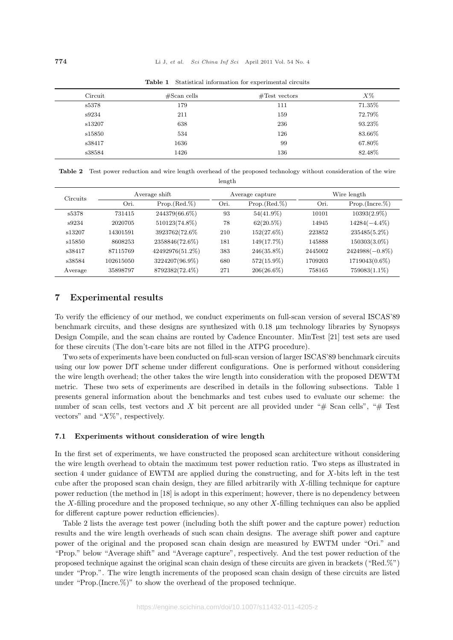| Circuit | $#Scan$ cells | $\#\text{Test vectors}$ | $X\%$  |
|---------|---------------|-------------------------|--------|
| s5378   | 179           | 111                     | 71.35% |
| s9234   | 211           | 159                     | 72.79% |
| s13207  | 638           | 236                     | 93.23% |
| s15850  | 534           | 126                     | 83.66% |
| s38417  | 1636          | 99                      | 67.80% |
| s38584  | 1426          | 136                     | 82.48% |

Table 1 Statistical information for experimental circuits

|        | Table 2 Test power reduction and wire length overhead of the proposed technology without consideration of the wire |  |  |  |  |  |  |  |
|--------|--------------------------------------------------------------------------------------------------------------------|--|--|--|--|--|--|--|
| length |                                                                                                                    |  |  |  |  |  |  |  |

| Circuits |           | Average shift   |      | Average capture | Wire length |                   |  |
|----------|-----------|-----------------|------|-----------------|-------------|-------------------|--|
|          | Ori.      | $Prop.(Red.\%)$ | Ori. | $Prop.(Red.\%)$ | Ori.        | $Prop.(Incre.\%)$ |  |
| s5378    | 731415    | 244379(66.6%)   | 93   | $54(41.9\%)$    | 10101       | $10393(2.9\%)$    |  |
| s9234    | 2020705   | 510123(74.8%)   | 78   | $62(20.5\%)$    | 14945       | $14284(-4.4\%)$   |  |
| s13207   | 14301591  | 3923762(72.6%)  | 210  | $152(27.6\%)$   | 223852      | $235485(5.2\%)$   |  |
| s15850   | 8608253   | 2358846(72.6%)  | 181  | $149(17.7\%)$   | 145888      | $150303(3.0\%)$   |  |
| s38417   | 87115769  | 42492976(51.2%) | 383  | $246(35.8\%)$   | 2445002     | $2424988(-0.8\%)$ |  |
| s38584   | 102615050 | 3224207(96.9%)  | 680  | $572(15.9\%)$   | 1709203     | 1719043(0.6%)     |  |
| Average  | 35898797  | 8792382(72.4%)  | 271  | $206(26.6\%)$   | 758165      | $759083(1.1\%)$   |  |

# 7 Experimental results

To verify the efficiency of our method, we conduct experiments on full-scan version of several ISCAS'89 benchmark circuits, and these designs are synthesized with 0.18 µm technology libraries by Synopsys Design Compile, and the scan chains are routed by Cadence Encounter. MinTest [21] test sets are used for these circuits (The don't-care bits are not filled in the ATPG procedure).

Two sets of experiments have been conducted on full-scan version of larger ISCAS'89 benchmark circuits using our low power DfT scheme under different configurations. One is performed without considering the wire length overhead; the other takes the wire length into consideration with the proposed DEWTM metric. These two sets of experiments are described in details in the following subsections. Table 1 presents general information about the benchmarks and test cubes used to evaluate our scheme: the number of scan cells, test vectors and X bit percent are all provided under " $#$  Scan cells", " $#$  Test vectors" and " $X\%$ ", respectively.

#### 7.1 Experiments without consideration of wire length

In the first set of experiments, we have constructed the proposed scan architecture without considering the wire length overhead to obtain the maximum test power reduction ratio. Two steps as illustrated in section 4 under guidance of EWTM are applied during the constructing, and for X-bits left in the test cube after the proposed scan chain design, they are filled arbitrarily with X-filling technique for capture power reduction (the method in [18] is adopt in this experiment; however, there is no dependency between the X-filling procedure and the proposed technique, so any other X-filling techniques can also be applied for different capture power reduction efficiencies).

Table 2 lists the average test power (including both the shift power and the capture power) reduction results and the wire length overheads of such scan chain designs. The average shift power and capture power of the original and the proposed scan chain design are measured by EWTM under "Ori." and "Prop." below "Average shift" and "Average capture", respectively. And the test power reduction of the proposed technique against the original scan chain design of these circuits are given in brackets ("Red.%") under "Prop.". The wire length increments of the proposed scan chain design of these circuits are listed under "Prop. (Incre.  $\%)$ " to show the overhead of the proposed technique.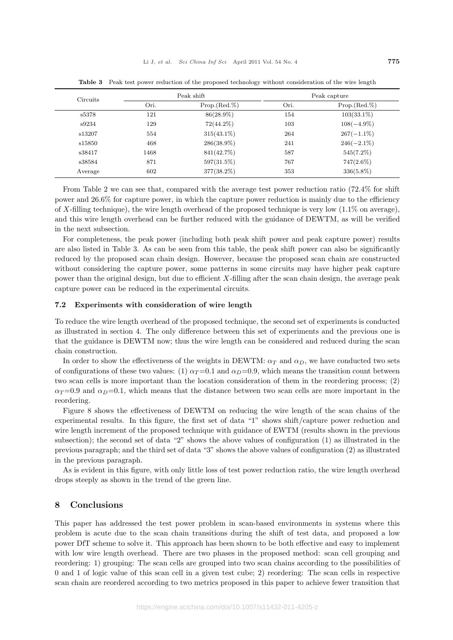| Circuits |      | Peak shift      | Peak capture |                 |  |
|----------|------|-----------------|--------------|-----------------|--|
|          | Ori. | $Prop.(Red.\%)$ | Ori.         | $Prop.(Red.\%)$ |  |
| s5378    | 121  | $86(28.9\%)$    | 154          | $103(33.1\%)$   |  |
| s9234    | 129  | $72(44.2\%)$    | 103          | $108(-4.9\%)$   |  |
| s13207   | 554  | $315(43.1\%)$   | 264          | $267(-1.1\%)$   |  |
| s15850   | 468  | $286(38.9\%)$   | 241          | $246(-2.1\%)$   |  |
| s38417   | 1468 | 841(42.7%)      | 587          | $545(7.2\%)$    |  |
| s38584   | 871  | $597(31.5\%)$   | 767          | $747(2.6\%)$    |  |
| Average  | 602  | 377(38.2%)      | 353          | $336(5.8\%)$    |  |

Table 3 Peak test power reduction of the proposed technology without consideration of the wire length

From Table 2 we can see that, compared with the average test power reduction ratio (72.4% for shift power and 26.6% for capture power, in which the capture power reduction is mainly due to the efficiency of X-filling technique), the wire length overhead of the proposed technique is very low  $(1.1\%$  on average), and this wire length overhead can be further reduced with the guidance of DEWTM, as will be verified in the next subsection.

For completeness, the peak power (including both peak shift power and peak capture power) results are also listed in Table 3. As can be seen from this table, the peak shift power can also be significantly reduced by the proposed scan chain design. However, because the proposed scan chain are constructed without considering the capture power, some patterns in some circuits may have higher peak capture power than the original design, but due to efficient X-filling after the scan chain design, the average peak capture power can be reduced in the experimental circuits.

#### 7.2 Experiments with consideration of wire length

To reduce the wire length overhead of the proposed technique, the second set of experiments is conducted as illustrated in section 4. The only difference between this set of experiments and the previous one is that the guidance is DEWTM now; thus the wire length can be considered and reduced during the scan chain construction.

In order to show the effectiveness of the weights in DEWTM:  $\alpha_T$  and  $\alpha_D$ , we have conducted two sets of configurations of these two values: (1)  $\alpha_T = 0.1$  and  $\alpha_D = 0.9$ , which means the transition count between two scan cells is more important than the location consideration of them in the reordering process; (2)  $\alpha_T = 0.9$  and  $\alpha_D = 0.1$ , which means that the distance between two scan cells are more important in the reordering.

Figure 8 shows the effectiveness of DEWTM on reducing the wire length of the scan chains of the experimental results. In this figure, the first set of data "1" shows shift/capture power reduction and wire length increment of the proposed technique with guidance of EWTM (results shown in the previous subsection); the second set of data "2" shows the above values of configuration (1) as illustrated in the previous paragraph; and the third set of data "3" shows the above values of configuration (2) as illustrated in the previous paragraph.

As is evident in this figure, with only little loss of test power reduction ratio, the wire length overhead drops steeply as shown in the trend of the green line.

# 8 Conclusions

This paper has addressed the test power problem in scan-based environments in systems where this problem is acute due to the scan chain transitions during the shift of test data, and proposed a low power DfT scheme to solve it. This approach has been shown to be both effective and easy to implement with low wire length overhead. There are two phases in the proposed method: scan cell grouping and reordering: 1) grouping: The scan cells are grouped into two scan chains according to the possibilities of 0 and 1 of logic value of this scan cell in a given test cube; 2) reordering: The scan cells in respective scan chain are reordered according to two metrics proposed in this paper to achieve fewer transition that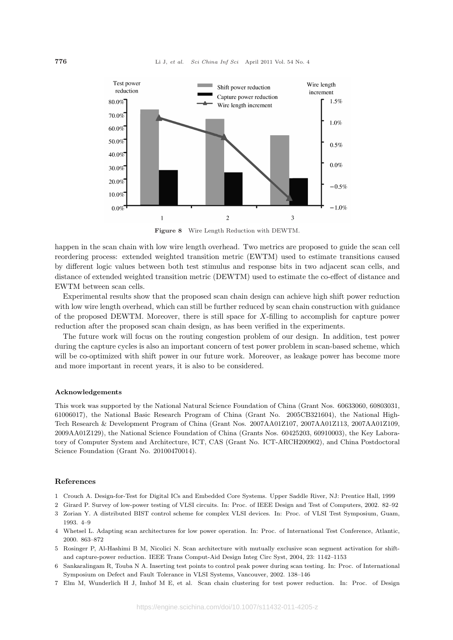

Figure 8 Wire Length Reduction with DEWTM.

happen in the scan chain with low wire length overhead. Two metrics are proposed to guide the scan cell reordering process: extended weighted transition metric (EWTM) used to estimate transitions caused by different logic values between both test stimulus and response bits in two adjacent scan cells, and distance of extended weighted transition metric (DEWTM) used to estimate the co-effect of distance and EWTM between scan cells.

Experimental results show that the proposed scan chain design can achieve high shift power reduction with low wire length overhead, which can still be further reduced by scan chain construction with guidance of the proposed DEWTM. Moreover, there is still space for  $X$ -filling to accomplish for capture power reduction after the proposed scan chain design, as has been verified in the experiments.

The future work will focus on the routing congestion problem of our design. In addition, test power during the capture cycles is also an important concern of test power problem in scan-based scheme, which will be co-optimized with shift power in our future work. Moreover, as leakage power has become more and more important in recent years, it is also to be considered.

#### Acknowledgements

This work was supported by the National Natural Science Foundation of China (Grant Nos. 60633060, 60803031, 61006017), the National Basic Research Program of China (Grant No. 2005CB321604), the National High-Tech Research & Development Program of China (Grant Nos. 2007AA01Z107, 2007AA01Z113, 2007AA01Z109, 2009AA01Z129), the National Science Foundation of China (Grants Nos. 60425203, 60910003), the Key Laboratory of Computer System and Architecture, ICT, CAS (Grant No. ICT-ARCH200902), and China Postdoctoral Science Foundation (Grant No. 20100470014).

#### References

- 1 Crouch A. Design-for-Test for Digital ICs and Embedded Core Systems. Upper Saddle River, NJ: Prentice Hall, 1999
- 2 Girard P. Survey of low-power testing of VLSI circuits. In: Proc. of IEEE Design and Test of Computers, 2002. 82–92
- 3 Zorian Y. A distributed BIST control scheme for complex VLSI devices. In: Proc. of VLSI Test Symposium, Guam, 1993. 4–9
- 4 Whetsel L. Adapting scan architectures for low power operation. In: Proc. of International Test Conference, Atlantic, 2000. 863–872
- 5 Rosinger P, Al-Hashimi B M, Nicolici N. Scan architecture with mutually exclusive scan segment activation for shiftand capture-power reduction. IEEE Trans Comput-Aid Design Integ Circ Syst, 2004, 23: 1142–1153
- 6 Sankaralingam R, Touba N A. Inserting test points to control peak power during scan testing. In: Proc. of International Symposium on Defect and Fault Tolerance in VLSI Systems, Vancouver, 2002. 138–146
- 7 Elm M, Wunderlich H J, Imhof M E, et al. Scan chain clustering for test power reduction. In: Proc. of Design